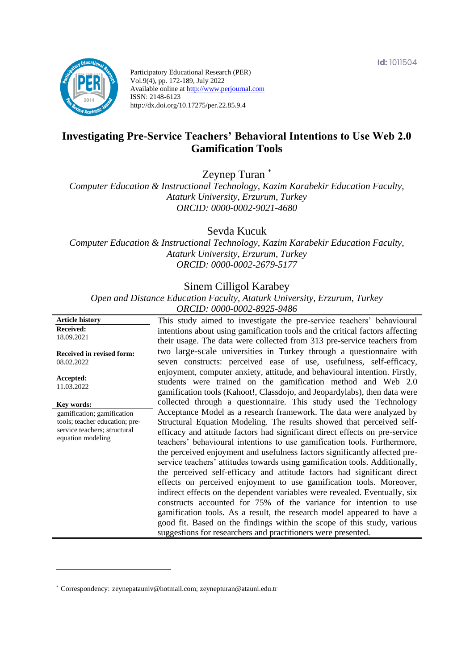**Id:** 1011504



Participatory Educational Research (PER) Vol.9(4), pp. 172-189, July 2022 Available online at http://www.perjournal.com ISSN: 2148-6123 http://dx.doi.org/10.17275/per.22.85.9.4

# **Investigating Pre-Service Teachers' Behavioral Intentions to Use Web 2.0 Gamification Tools**

Zeynep Turan \*

*Computer Education & Instructional Technology, Kazim Karabekir Education Faculty, Ataturk University, Erzurum, Turkey ORCID: 0000-0002-9021-4680*

Sevda Kucuk

*Computer Education & Instructional Technology, Kazim Karabekir Education Faculty, Ataturk University, Erzurum, Turkey ORCID: 0000-0002-2679-5177*

# Sinem Cilligol Karabey

*Open and Distance Education Faculty, Ataturk University, Erzurum, Turkey ORCID: 0000-0002-8925-9486*

| <b>Article history</b>                                                                                            | This study aimed to investigate the pre-service teachers' behavioural                                                                                                                                                                                                                                                                                                                                                                                                                                                                                                                                                                                                                                                                                                                                                                                                                                                          |
|-------------------------------------------------------------------------------------------------------------------|--------------------------------------------------------------------------------------------------------------------------------------------------------------------------------------------------------------------------------------------------------------------------------------------------------------------------------------------------------------------------------------------------------------------------------------------------------------------------------------------------------------------------------------------------------------------------------------------------------------------------------------------------------------------------------------------------------------------------------------------------------------------------------------------------------------------------------------------------------------------------------------------------------------------------------|
| <b>Received:</b>                                                                                                  | intentions about using gamification tools and the critical factors affecting                                                                                                                                                                                                                                                                                                                                                                                                                                                                                                                                                                                                                                                                                                                                                                                                                                                   |
| 18.09.2021                                                                                                        | their usage. The data were collected from 313 pre-service teachers from                                                                                                                                                                                                                                                                                                                                                                                                                                                                                                                                                                                                                                                                                                                                                                                                                                                        |
| Received in revised form:                                                                                         | two large-scale universities in Turkey through a questionnaire with                                                                                                                                                                                                                                                                                                                                                                                                                                                                                                                                                                                                                                                                                                                                                                                                                                                            |
| 08.02.2022                                                                                                        | seven constructs: perceived ease of use, usefulness, self-efficacy,                                                                                                                                                                                                                                                                                                                                                                                                                                                                                                                                                                                                                                                                                                                                                                                                                                                            |
| Accepted:<br>11.03.2022                                                                                           | enjoyment, computer anxiety, attitude, and behavioural intention. Firstly,<br>students were trained on the gamification method and Web 2.0<br>gamification tools (Kahoot!, Classdojo, and Jeopardylabs), then data were                                                                                                                                                                                                                                                                                                                                                                                                                                                                                                                                                                                                                                                                                                        |
| Key words:                                                                                                        | collected through a questionnaire. This study used the Technology                                                                                                                                                                                                                                                                                                                                                                                                                                                                                                                                                                                                                                                                                                                                                                                                                                                              |
| gamification; gamification<br>tools; teacher education; pre-<br>service teachers; structural<br>equation modeling | Acceptance Model as a research framework. The data were analyzed by<br>Structural Equation Modeling. The results showed that perceived self-<br>efficacy and attitude factors had significant direct effects on pre-service<br>teachers' behavioural intentions to use gamification tools. Furthermore,<br>the perceived enjoyment and usefulness factors significantly affected pre-<br>service teachers' attitudes towards using gamification tools. Additionally,<br>the perceived self-efficacy and attitude factors had significant direct<br>effects on perceived enjoyment to use gamification tools. Moreover,<br>indirect effects on the dependent variables were revealed. Eventually, six<br>constructs accounted for 75% of the variance for intention to use<br>gamification tools. As a result, the research model appeared to have a<br>good fit. Based on the findings within the scope of this study, various |
|                                                                                                                   | suggestions for researchers and practitioners were presented.                                                                                                                                                                                                                                                                                                                                                                                                                                                                                                                                                                                                                                                                                                                                                                                                                                                                  |

<sup>\*</sup> [Correspondency:](mailto:Correspondency:) zeynepatauniv@hotmail.com; zeynepturan@atauni.edu.tr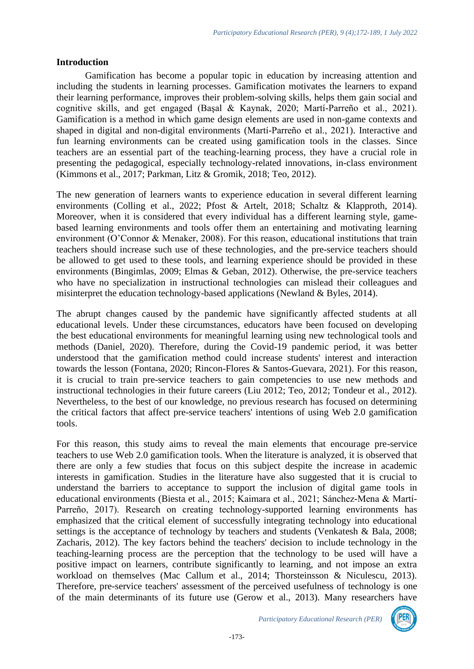#### **Introduction**

Gamification has become a popular topic in education by increasing attention and including the students in learning processes. Gamification motivates the learners to expand their learning performance, improves their problem-solving skills, helps them gain social and cognitive skills, and get engaged (Başal & Kaynak, 2020; Martí-Parreño et al., 2021). Gamification is a method in which game design elements are used in non-game contexts and shaped in digital and non-digital environments (Martí-Parreño et al., 2021). Interactive and fun learning environments can be created using gamification tools in the classes. Since teachers are an essential part of the teaching-learning process, they have a crucial role in presenting the pedagogical, especially technology-related innovations, in-class environment (Kimmons et al., 2017; Parkman, Litz & Gromik, 2018; Teo, 2012).

The new generation of learners wants to experience education in several different learning environments (Colling et al., 2022; Pfost & Artelt, 2018; Schaltz & Klapproth, 2014). Moreover, when it is considered that every individual has a different learning style, gamebased learning environments and tools offer them an entertaining and motivating learning environment (O'Connor & Menaker, 2008). For this reason, educational institutions that train teachers should increase such use of these technologies, and the pre-service teachers should be allowed to get used to these tools, and learning experience should be provided in these environments (Bingimlas, 2009; Elmas & Geban, 2012). Otherwise, the pre-service teachers who have no specialization in instructional technologies can mislead their colleagues and misinterpret the education technology-based applications (Newland & Byles, 2014).

The abrupt changes caused by the pandemic have significantly affected students at all educational levels. Under these circumstances, educators have been focused on developing the best educational environments for meaningful learning using new technological tools and methods (Daniel, 2020). Therefore, during the Covid-19 pandemic period, it was better understood that the gamification method could increase students' interest and interaction towards the lesson (Fontana, 2020; Rincon-Flores & Santos-Guevara, 2021). For this reason, it is crucial to train pre-service teachers to gain competencies to use new methods and instructional technologies in their future careers (Liu 2012; Teo, 2012; Tondeur et al., 2012). Nevertheless, to the best of our knowledge, no previous research has focused on determining the critical factors that affect pre-service teachers' intentions of using Web 2.0 gamification tools.

For this reason, this study aims to reveal the main elements that encourage pre-service teachers to use Web 2.0 gamification tools. When the literature is analyzed, it is observed that there are only a few studies that focus on this subject despite the increase in academic interests in gamification. Studies in the literature have also suggested that it is crucial to understand the barriers to acceptance to support the inclusion of digital game tools in educational environments (Biesta et al., 2015; Kaimara et al., 2021; Sánchez-Mena & Martí-Parreño, 2017). Research on creating technology-supported learning environments has emphasized that the critical element of successfully integrating technology into educational settings is the acceptance of technology by teachers and students (Venkatesh & Bala, 2008; Zacharis, 2012). The key factors behind the teachers' decision to include technology in the teaching-learning process are the perception that the technology to be used will have a positive impact on learners, contribute significantly to learning, and not impose an extra workload on themselves (Mac Callum et al., 2014; Thorsteinsson & Niculescu, 2013). Therefore, pre-service teachers' assessment of the perceived usefulness of technology is one of the main determinants of its future use (Gerow et al., 2013). Many researchers have

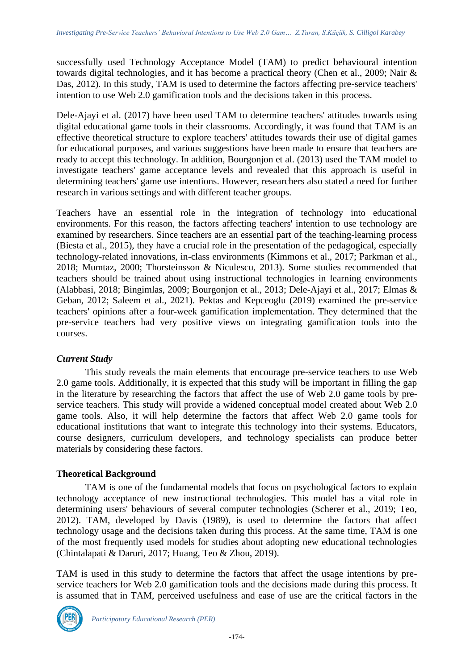successfully used Technology Acceptance Model (TAM) to predict behavioural intention towards digital technologies, and it has become a practical theory (Chen et al., 2009; Nair & Das, 2012). In this study, TAM is used to determine the factors affecting pre-service teachers' intention to use Web 2.0 gamification tools and the decisions taken in this process.

Dele-Ajayi et al. (2017) have been used TAM to determine teachers' attitudes towards using digital educational game tools in their classrooms. Accordingly, it was found that TAM is an effective theoretical structure to explore teachers' attitudes towards their use of digital games for educational purposes, and various suggestions have been made to ensure that teachers are ready to accept this technology. In addition, Bourgonjon et al. (2013) used the TAM model to investigate teachers' game acceptance levels and revealed that this approach is useful in determining teachers' game use intentions. However, researchers also stated a need for further research in various settings and with different teacher groups.

Teachers have an essential role in the integration of technology into educational environments. For this reason, the factors affecting teachers' intention to use technology are examined by researchers. Since teachers are an essential part of the teaching-learning process (Biesta et al., 2015), they have a crucial role in the presentation of the pedagogical, especially technology-related innovations, in-class environments (Kimmons et al., 2017; Parkman et al., 2018; Mumtaz, 2000; Thorsteinsson & Niculescu, 2013). Some studies recommended that teachers should be trained about using instructional technologies in learning environments (Alabbasi, 2018; Bingimlas, 2009; Bourgonjon et al., 2013; Dele-Ajayi et al., 2017; Elmas & Geban, 2012; Saleem et al., 2021). Pektas and Kepceoglu (2019) examined the pre-service teachers' opinions after a four-week gamification implementation. They determined that the pre-service teachers had very positive views on integrating gamification tools into the courses.

## *Current Study*

This study reveals the main elements that encourage pre-service teachers to use Web 2.0 game tools. Additionally, it is expected that this study will be important in filling the gap in the literature by researching the factors that affect the use of Web 2.0 game tools by preservice teachers. This study will provide a widened conceptual model created about Web 2.0 game tools. Also, it will help determine the factors that affect Web 2.0 game tools for educational institutions that want to integrate this technology into their systems. Educators, course designers, curriculum developers, and technology specialists can produce better materials by considering these factors.

## **Theoretical Background**

TAM is one of the fundamental models that focus on psychological factors to explain technology acceptance of new instructional technologies. This model has a vital role in determining users' behaviours of several computer technologies (Scherer et al., 2019; Teo, 2012). TAM, developed by Davis (1989), is used to determine the factors that affect technology usage and the decisions taken during this process. At the same time, TAM is one of the most frequently used models for studies about adopting new educational technologies (Chintalapati & Daruri, 2017; Huang, Teo & Zhou, 2019).

TAM is used in this study to determine the factors that affect the usage intentions by preservice teachers for Web 2.0 gamification tools and the decisions made during this process. It is assumed that in TAM, perceived usefulness and ease of use are the critical factors in the

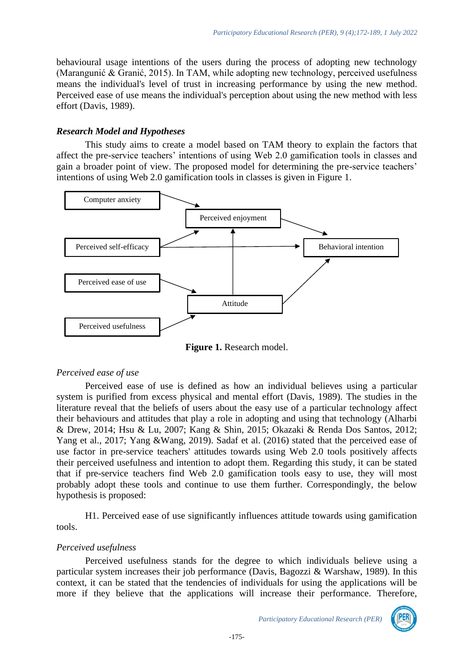behavioural usage intentions of the users during the process of adopting new technology (Marangunić & Granić, 2015). In TAM, while adopting new technology, perceived usefulness means the individual's level of trust in increasing performance by using the new method. Perceived ease of use means the individual's perception about using the new method with less effort (Davis, 1989).

#### *Research Model and Hypotheses*

This study aims to create a model based on TAM theory to explain the factors that affect the pre-service teachers' intentions of using Web 2.0 gamification tools in classes and gain a broader point of view. The proposed model for determining the pre-service teachers' intentions of using Web 2.0 gamification tools in classes is given in Figure 1.



**Figure 1.** Research model.

## *Perceived ease of use*

Perceived ease of use is defined as how an individual believes using a particular system is purified from excess physical and mental effort (Davis, 1989). The studies in the literature reveal that the beliefs of users about the easy use of a particular technology affect their behaviours and attitudes that play a role in adopting and using that technology (Alharbi & Drew, 2014; Hsu & Lu, 2007; Kang & Shin, 2015; Okazaki & Renda Dos Santos, 2012; Yang et al., 2017; Yang &Wang, 2019). Sadaf et al. (2016) stated that the perceived ease of use factor in pre-service teachers' attitudes towards using Web 2.0 tools positively affects their perceived usefulness and intention to adopt them. Regarding this study, it can be stated that if pre-service teachers find Web 2.0 gamification tools easy to use, they will most probably adopt these tools and continue to use them further. Correspondingly, the below hypothesis is proposed:

H1. Perceived ease of use significantly influences attitude towards using gamification tools.

## *Perceived usefulness*

Perceived usefulness stands for the degree to which individuals believe using a particular system increases their job performance (Davis, Bagozzi & Warshaw, 1989). In this context, it can be stated that the tendencies of individuals for using the applications will be more if they believe that the applications will increase their performance. Therefore,

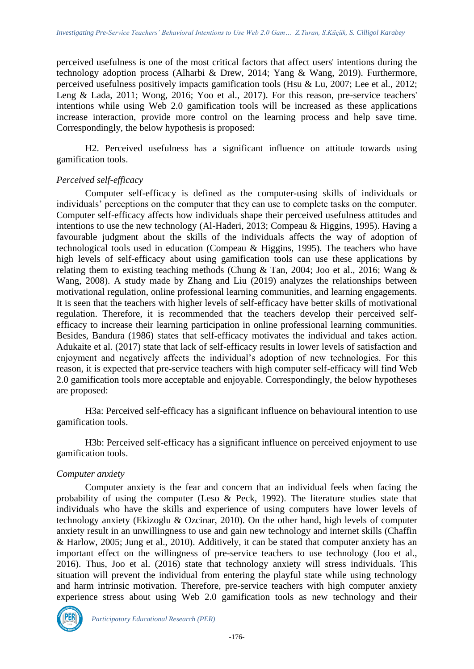perceived usefulness is one of the most critical factors that affect users' intentions during the technology adoption process (Alharbi & Drew, 2014; Yang & Wang, 2019). Furthermore, perceived usefulness positively impacts gamification tools (Hsu & Lu, 2007; Lee et al., 2012; Leng & Lada, 2011; Wong, 2016; Yoo et al., 2017). For this reason, pre-service teachers' intentions while using Web 2.0 gamification tools will be increased as these applications increase interaction, provide more control on the learning process and help save time. Correspondingly, the below hypothesis is proposed:

H2. Perceived usefulness has a significant influence on attitude towards using gamification tools.

#### *Perceived self-efficacy*

Computer self-efficacy is defined as the computer-using skills of individuals or individuals' perceptions on the computer that they can use to complete tasks on the computer. Computer self-efficacy affects how individuals shape their perceived usefulness attitudes and intentions to use the new technology (Al-Haderi, 2013; Compeau & Higgins, 1995). Having a favourable judgment about the skills of the individuals affects the way of adoption of technological tools used in education (Compeau & Higgins, 1995). The teachers who have high levels of self-efficacy about using gamification tools can use these applications by relating them to existing teaching methods (Chung & Tan, 2004; Joo et al., 2016; Wang & Wang, 2008). A study made by Zhang and Liu (2019) analyzes the relationships between motivational regulation, online professional learning communities, and learning engagements. It is seen that the teachers with higher levels of self-efficacy have better skills of motivational regulation. Therefore, it is recommended that the teachers develop their perceived selfefficacy to increase their learning participation in online professional learning communities. Besides, Bandura (1986) states that self-efficacy motivates the individual and takes action. Adukaite et al. (2017) state that lack of self-efficacy results in lower levels of satisfaction and enjoyment and negatively affects the individual's adoption of new technologies. For this reason, it is expected that pre-service teachers with high computer self-efficacy will find Web 2.0 gamification tools more acceptable and enjoyable. Correspondingly, the below hypotheses are proposed:

H3a: Perceived self-efficacy has a significant influence on behavioural intention to use gamification tools.

H3b: Perceived self-efficacy has a significant influence on perceived enjoyment to use gamification tools.

#### *Computer anxiety*

Computer anxiety is the fear and concern that an individual feels when facing the probability of using the computer (Leso & Peck, 1992). The literature studies state that individuals who have the skills and experience of using computers have lower levels of technology anxiety (Ekizoglu & Ozcinar, 2010). On the other hand, high levels of computer anxiety result in an unwillingness to use and gain new technology and internet skills (Chaffin & Harlow, 2005; Jung et al., 2010). Additively, it can be stated that computer anxiety has an important effect on the willingness of pre-service teachers to use technology (Joo et al., 2016). Thus, Joo et al. (2016) state that technology anxiety will stress individuals. This situation will prevent the individual from entering the playful state while using technology and harm intrinsic motivation. Therefore, pre-service teachers with high computer anxiety experience stress about using Web 2.0 gamification tools as new technology and their

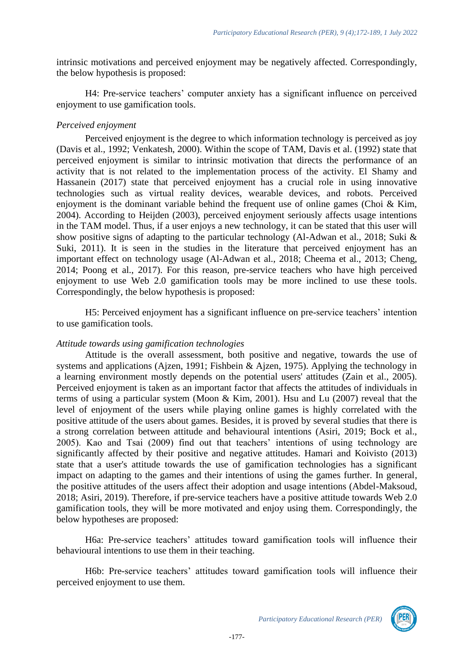intrinsic motivations and perceived enjoyment may be negatively affected. Correspondingly, the below hypothesis is proposed:

H4: Pre-service teachers' computer anxiety has a significant influence on perceived enjoyment to use gamification tools.

#### *Perceived enjoyment*

Perceived enjoyment is the degree to which information technology is perceived as joy (Davis et al., 1992; Venkatesh, 2000). Within the scope of TAM, Davis et al. (1992) state that perceived enjoyment is similar to intrinsic motivation that directs the performance of an activity that is not related to the implementation process of the activity. El Shamy and Hassanein (2017) state that perceived enjoyment has a crucial role in using innovative technologies such as virtual reality devices, wearable devices, and robots. Perceived enjoyment is the dominant variable behind the frequent use of online games (Choi & Kim, 2004). According to Heijden (2003), perceived enjoyment seriously affects usage intentions in the TAM model. Thus, if a user enjoys a new technology, it can be stated that this user will show positive signs of adapting to the particular technology (Al-Adwan et al., 2018; Suki & Suki, 2011). It is seen in the studies in the literature that perceived enjoyment has an important effect on technology usage (Al-Adwan et al., 2018; Cheema et al., 2013; Cheng, 2014; Poong et al., 2017). For this reason, pre-service teachers who have high perceived enjoyment to use Web 2.0 gamification tools may be more inclined to use these tools. Correspondingly, the below hypothesis is proposed:

H5: Perceived enjoyment has a significant influence on pre-service teachers' intention to use gamification tools.

## *Attitude towards using gamification technologies*

Attitude is the overall assessment, both positive and negative, towards the use of systems and applications (Ajzen, 1991; Fishbein & Ajzen, 1975). Applying the technology in a learning environment mostly depends on the potential users' attitudes (Zain et al., 2005). Perceived enjoyment is taken as an important factor that affects the attitudes of individuals in terms of using a particular system (Moon & Kim, 2001). Hsu and Lu (2007) reveal that the level of enjoyment of the users while playing online games is highly correlated with the positive attitude of the users about games. Besides, it is proved by several studies that there is a strong correlation between attitude and behavioural intentions (Asiri, 2019; Bock et al., 2005). Kao and Tsai (2009) find out that teachers' intentions of using technology are significantly affected by their positive and negative attitudes. Hamari and Koivisto (2013) state that a user's attitude towards the use of gamification technologies has a significant impact on adapting to the games and their intentions of using the games further. In general, the positive attitudes of the users affect their adoption and usage intentions (Abdel-Maksoud, 2018; Asiri, 2019). Therefore, if pre-service teachers have a positive attitude towards Web 2.0 gamification tools, they will be more motivated and enjoy using them. Correspondingly, the below hypotheses are proposed:

H6a: Pre-service teachers' attitudes toward gamification tools will influence their behavioural intentions to use them in their teaching.

H6b: Pre-service teachers' attitudes toward gamification tools will influence their perceived enjoyment to use them.

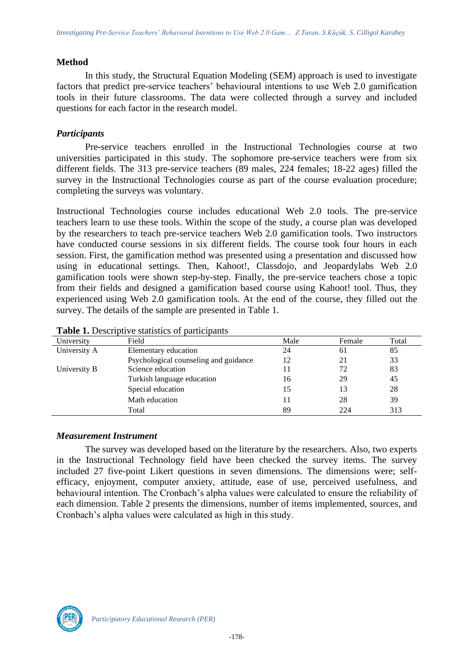#### **Method**

In this study, the Structural Equation Modeling (SEM) approach is used to investigate factors that predict pre-service teachers' behavioural intentions to use Web 2.0 gamification tools in their future classrooms. The data were collected through a survey and included questions for each factor in the research model.

## *Participants*

Pre-service teachers enrolled in the Instructional Technologies course at two universities participated in this study. The sophomore pre-service teachers were from six different fields. The 313 pre-service teachers (89 males, 224 females; 18-22 ages) filled the survey in the Instructional Technologies course as part of the course evaluation procedure; completing the surveys was voluntary.

Instructional Technologies course includes educational Web 2.0 tools. The pre-service teachers learn to use these tools. Within the scope of the study, a course plan was developed by the researchers to teach pre-service teachers Web 2.0 gamification tools. Two instructors have conducted course sessions in six different fields. The course took four hours in each session. First, the gamification method was presented using a presentation and discussed how using in educational settings. Then, Kahoot!, Classdojo, and Jeopardylabs Web 2.0 gamification tools were shown step-by-step. Finally, the pre-service teachers chose a topic from their fields and designed a gamification based course using Kahoot! tool. Thus, they experienced using Web 2.0 gamification tools. At the end of the course, they filled out the survey. The details of the sample are presented in Table 1.

| University   | Field                                 | Male | Female | Total |
|--------------|---------------------------------------|------|--------|-------|
| University A | Elementary education                  | 24   | 61     | 85    |
|              | Psychological counseling and guidance | 12   | 21     | 33    |
| University B | Science education                     |      | 72     | 83    |
|              | Turkish language education            | 16   | 29     | 45    |
|              | Special education                     | 15   | 13     | 28    |
|              | Math education                        |      | 28     | 39    |
|              | Total                                 | 89   | 224    | 313   |

## *Measurement Instrument*

The survey was developed based on the literature by the researchers. Also, two experts in the Instructional Technology field have been checked the survey items. The survey included 27 five-point Likert questions in seven dimensions. The dimensions were; selfefficacy, enjoyment, computer anxiety, attitude, ease of use, perceived usefulness, and behavioural intention. The Cronbach's alpha values were calculated to ensure the reliability of each dimension. Table 2 presents the dimensions, number of items implemented, sources, and Cronbach's alpha values were calculated as high in this study.

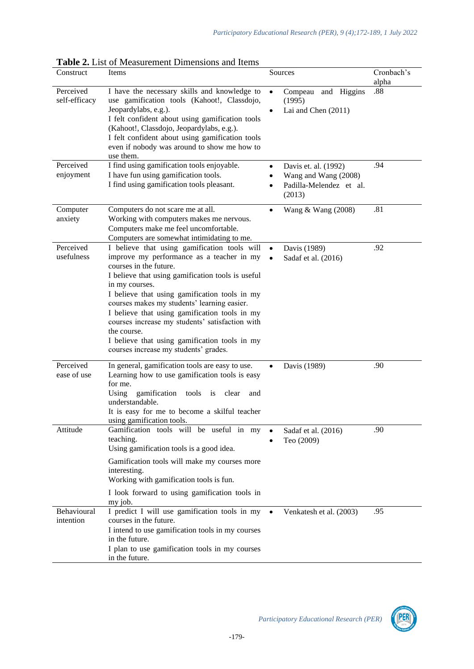| Construct                  | Items                                                                                                                                                                                                                                                                                                                              | Sources                                                           | Cronbach's<br>alpha |
|----------------------------|------------------------------------------------------------------------------------------------------------------------------------------------------------------------------------------------------------------------------------------------------------------------------------------------------------------------------------|-------------------------------------------------------------------|---------------------|
| Perceived<br>self-efficacy | I have the necessary skills and knowledge to<br>use gamification tools (Kahoot!, Classdojo,<br>Jeopardylabs, e.g.).<br>I felt confident about using gamification tools<br>(Kahoot!, Classdojo, Jeopardylabs, e.g.).<br>I felt confident about using gamification tools<br>even if nobody was around to show me how to<br>use them. | Compeau and Higgins<br>$\bullet$<br>(1995)<br>Lai and Chen (2011) | .88                 |
| Perceived                  | I find using gamification tools enjoyable.                                                                                                                                                                                                                                                                                         | Davis et. al. (1992)<br>$\bullet$                                 | .94                 |
| enjoyment                  | I have fun using gamification tools.<br>I find using gamification tools pleasant.                                                                                                                                                                                                                                                  | Wang and Wang (2008)<br>Padilla-Melendez et al.<br>(2013)         |                     |
| Computer                   | Computers do not scare me at all.                                                                                                                                                                                                                                                                                                  | Wang & Wang (2008)<br>$\bullet$                                   | .81                 |
| anxiety                    | Working with computers makes me nervous.<br>Computers make me feel uncomfortable.                                                                                                                                                                                                                                                  |                                                                   |                     |
|                            | Computers are somewhat intimidating to me.                                                                                                                                                                                                                                                                                         |                                                                   |                     |
| Perceived<br>usefulness    | I believe that using gamification tools will<br>improve my performance as a teacher in my                                                                                                                                                                                                                                          | Davis (1989)<br>$\bullet$<br>Sadaf et al. (2016)<br>$\bullet$     | .92                 |
|                            | courses in the future.                                                                                                                                                                                                                                                                                                             |                                                                   |                     |
|                            | I believe that using gamification tools is useful                                                                                                                                                                                                                                                                                  |                                                                   |                     |
|                            | in my courses.<br>I believe that using gamification tools in my                                                                                                                                                                                                                                                                    |                                                                   |                     |
|                            | courses makes my students' learning easier.                                                                                                                                                                                                                                                                                        |                                                                   |                     |
|                            | I believe that using gamification tools in my<br>courses increase my students' satisfaction with                                                                                                                                                                                                                                   |                                                                   |                     |
|                            | the course.                                                                                                                                                                                                                                                                                                                        |                                                                   |                     |
|                            | I believe that using gamification tools in my<br>courses increase my students' grades.                                                                                                                                                                                                                                             |                                                                   |                     |
| Perceived                  | In general, gamification tools are easy to use.                                                                                                                                                                                                                                                                                    | Davis (1989)                                                      | .90                 |
| ease of use                | Learning how to use gamification tools is easy<br>for me.                                                                                                                                                                                                                                                                          |                                                                   |                     |
|                            | gamification<br>Using<br>tools is<br>clear<br>and                                                                                                                                                                                                                                                                                  |                                                                   |                     |
|                            | understandable.                                                                                                                                                                                                                                                                                                                    |                                                                   |                     |
|                            | It is easy for me to become a skilful teacher<br>using gamification tools.                                                                                                                                                                                                                                                         |                                                                   |                     |
| Attitude                   | Gamification tools will be useful in my                                                                                                                                                                                                                                                                                            | Sadaf et al. (2016)                                               | .90                 |
|                            | teaching.<br>Using gamification tools is a good idea.                                                                                                                                                                                                                                                                              | Teo (2009)                                                        |                     |
|                            | Gamification tools will make my courses more                                                                                                                                                                                                                                                                                       |                                                                   |                     |
|                            | interesting.                                                                                                                                                                                                                                                                                                                       |                                                                   |                     |
|                            | Working with gamification tools is fun.                                                                                                                                                                                                                                                                                            |                                                                   |                     |
|                            | I look forward to using gamification tools in<br>my job.                                                                                                                                                                                                                                                                           |                                                                   |                     |
| Behavioural                | I predict I will use gamification tools in my                                                                                                                                                                                                                                                                                      | Venkatesh et al. (2003)<br>$\bullet$                              | .95                 |
| intention                  | courses in the future.                                                                                                                                                                                                                                                                                                             |                                                                   |                     |
|                            | I intend to use gamification tools in my courses<br>in the future.                                                                                                                                                                                                                                                                 |                                                                   |                     |
|                            | I plan to use gamification tools in my courses                                                                                                                                                                                                                                                                                     |                                                                   |                     |
|                            | in the future.                                                                                                                                                                                                                                                                                                                     |                                                                   |                     |

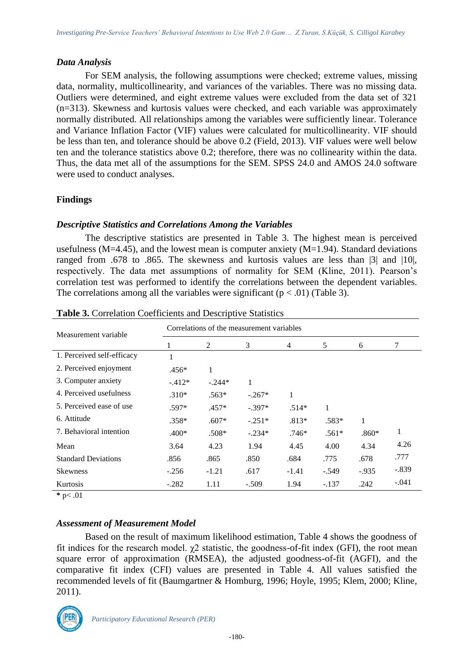#### *Data Analysis*

For SEM analysis, the following assumptions were checked; extreme values, missing data, normality, multicollinearity, and variances of the variables. There was no missing data. Outliers were determined, and eight extreme values were excluded from the data set of 321 (n=313). Skewness and kurtosis values were checked, and each variable was approximately normally distributed. All relationships among the variables were sufficiently linear. Tolerance and Variance Inflation Factor (VIF) values were calculated for multicollinearity. VIF should be less than ten, and tolerance should be above 0.2 (Field, 2013). VIF values were well below ten and the tolerance statistics above 0.2; therefore, there was no collinearity within the data. Thus, the data met all of the assumptions for the SEM. SPSS 24.0 and AMOS 24.0 software were used to conduct analyses.

# **Findings**

## *Descriptive Statistics and Correlations Among the Variables*

The descriptive statistics are presented in Table 3. The highest mean is perceived usefulness ( $M=4.45$ ), and the lowest mean is computer anxiety ( $M=1.94$ ). Standard deviations ranged from .678 to .865. The skewness and kurtosis values are less than |3| and |10|, respectively. The data met assumptions of normality for SEM (Kline, 2011). Pearson's correlation test was performed to identify the correlations between the dependent variables. The correlations among all the variables were significant  $(p < .01)$  (Table 3).

| Measurement variable       | Correlations of the measurement variables |          |          |         |         |          |         |
|----------------------------|-------------------------------------------|----------|----------|---------|---------|----------|---------|
|                            | 1                                         | 2        | 3        | 4       | 5       | 6        | 7       |
| 1. Perceived self-efficacy | 1                                         |          |          |         |         |          |         |
| 2. Perceived enjoyment     | $.456*$                                   |          |          |         |         |          |         |
| 3. Computer anxiety        | $-.412*$                                  | $-.244*$ | 1        |         |         |          |         |
| 4. Perceived usefulness    | $.310*$                                   | $.563*$  | $-.267*$ | 1       |         |          |         |
| 5. Perceived ease of use   | $.597*$                                   | $.457*$  | $-.397*$ | $.514*$ |         |          |         |
| 6. Attitude                | $.358*$                                   | $.607*$  | $-.251*$ | $.813*$ | $.583*$ | 1        |         |
| 7. Behavioral intention    | $.400*$                                   | $.508*$  | $-.234*$ | $.746*$ | $.561*$ | $.860*$  | 1       |
| Mean                       | 3.64                                      | 4.23     | 1.94     | 4.45    | 4.00    | 4.34     | 4.26    |
| <b>Standard Deviations</b> | .856                                      | .865     | .850     | .684    | .775    | .678     | .777    |
| <b>Skewness</b>            | $-.256$                                   | $-1.21$  | .617     | $-1.41$ | $-.549$ | $-0.935$ | $-.839$ |
| Kurtosis                   | $-.282$                                   | 1.11     | $-.509$  | 1.94    | $-.137$ | .242     | $-.041$ |

| <b>Table 3.</b> Correlation Coefficients and Descriptive Statistics |  |  |  |
|---------------------------------------------------------------------|--|--|--|
|---------------------------------------------------------------------|--|--|--|

**\*** p< .01

# *Assessment of Measurement Model*

Based on the result of maximum likelihood estimation, Table 4 shows the goodness of fit indices for the research model.  $\gamma$ 2 statistic, the goodness-of-fit index (GFI), the root mean square error of approximation (RMSEA), the adjusted goodness-of-fit (AGFI), and the comparative fit index (CFI) values are presented in Table 4. All values satisfied the recommended levels of fit (Baumgartner & Homburg, 1996; Hoyle, 1995; Klem, 2000; Kline, 2011).

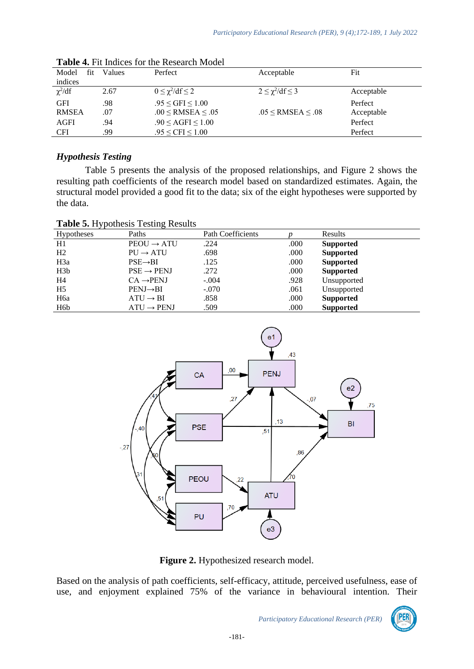| Model        | fit | Values | Perfect                            | Acceptable                         | Fit        |
|--------------|-----|--------|------------------------------------|------------------------------------|------------|
| indices      |     |        |                                    |                                    |            |
| $\chi^2/df$  |     | 2.67   | $0 \leq \chi^2/\mathrm{df} \leq 2$ | $2 \leq \chi^2/\mathrm{df} \leq 3$ | Acceptable |
| <b>GFI</b>   |     | .98    | $.95 \leq$ GFI $\leq 1.00$         |                                    | Perfect    |
| <b>RMSEA</b> |     | .07    | $.00 \leq$ RMSEA $\leq .05$        | $.05 \leq$ RMSEA $\leq .08$        | Acceptable |
| AGFI         |     | .94    | $.90 \leq \text{AGFI} \leq 1.00$   |                                    | Perfect    |
| <b>CFI</b>   |     | .99    | $.95 \leq CFI \leq 1.00$           |                                    | Perfect    |

# *Hypothesis Testing*

Table 5 presents the analysis of the proposed relationships, and Figure 2 shows the resulting path coefficients of the research model based on standardized estimates. Again, the structural model provided a good fit to the data; six of the eight hypotheses were supported by the data.

| Table 5. Hypothesis Testing Results |  |
|-------------------------------------|--|
|-------------------------------------|--|

| Hypotheses       | Paths                  | <b>Path Coefficients</b> |      | Results          |
|------------------|------------------------|--------------------------|------|------------------|
| H1               | $PEOU \rightarrow ATU$ | .224                     | .000 | <b>Supported</b> |
| H2               | $PU \rightarrow ATU$   | .698                     | .000 | <b>Supported</b> |
| H <sub>3</sub> a | $PSE \rightarrow BI$   | .125                     | .000 | <b>Supported</b> |
| H3b              | $PSE \rightarrow PENJ$ | .272                     | .000 | <b>Supported</b> |
| H4               | $CA \rightarrow PENJ$  | $-.004$                  | .928 | Unsupported      |
| H <sub>5</sub>   | $PENJ \rightarrow BI$  | $-.070$                  | .061 | Unsupported      |
| H <sub>6</sub> a | $ATU \rightarrow BI$   | .858                     | .000 | <b>Supported</b> |
| H <sub>6</sub> b | $ATU \rightarrow PENJ$ | .509                     | .000 | <b>Supported</b> |



Figure 2. Hypothesized research model.

Based on the analysis of path coefficients, self-efficacy, attitude, perceived usefulness, ease of use, and enjoyment explained 75% of the variance in behavioural intention. Their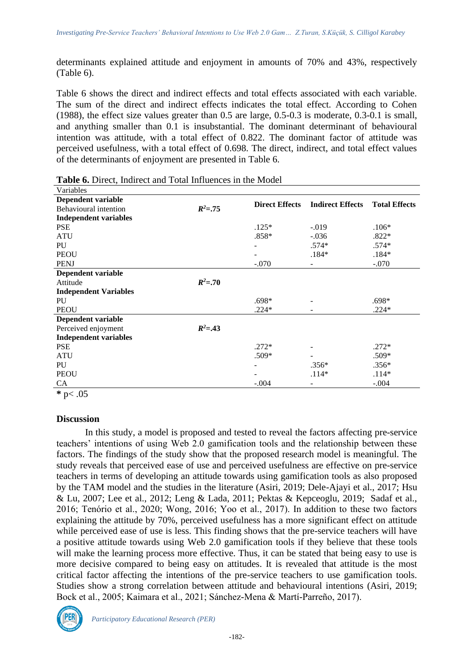determinants explained attitude and enjoyment in amounts of 70% and 43%, respectively (Table 6).

Table 6 shows the direct and indirect effects and total effects associated with each variable. The sum of the direct and indirect effects indicates the total effect. According to Cohen (1988), the effect size values greater than 0.5 are large, 0.5-0.3 is moderate, 0.3-0.1 is small, and anything smaller than 0.1 is insubstantial. The dominant determinant of behavioural intention was attitude, with a total effect of 0.822. The dominant factor of attitude was perceived usefulness, with a total effect of 0.698. The direct, indirect, and total effect values of the determinants of enjoyment are presented in Table 6.

|              |         |                          | <b>Total Effects</b>    |
|--------------|---------|--------------------------|-------------------------|
| $R^2 = .75$  |         |                          |                         |
|              |         |                          |                         |
|              | $.125*$ | $-.019$                  | $.106*$                 |
|              | $.858*$ | $-.036$                  | $.822*$                 |
|              |         | $.574*$                  | $.574*$                 |
|              |         | $.184*$                  | $.184*$                 |
|              | $-.070$ | $\overline{\phantom{a}}$ | $-.070$                 |
|              |         |                          |                         |
| $R^2 = 0.70$ |         |                          |                         |
|              |         |                          |                         |
|              | $.698*$ |                          | $.698*$                 |
|              | $.224*$ |                          | $.224*$                 |
|              |         |                          |                         |
| $R^2 = .43$  |         |                          |                         |
|              |         |                          |                         |
|              | $.272*$ |                          | $.272*$                 |
|              | .509*   |                          | .509*                   |
|              |         | $.356*$                  | $.356*$                 |
|              |         | $.114*$                  | $.114*$                 |
|              | $-.004$ | -                        | $-.004$                 |
|              |         | <b>Direct Effects</b>    | <b>Indirect Effects</b> |

**Table 6.** Direct, Indirect and Total Influences in the Model

**\*** p< .05

## **Discussion**

In this study, a model is proposed and tested to reveal the factors affecting pre-service teachers' intentions of using Web 2.0 gamification tools and the relationship between these factors. The findings of the study show that the proposed research model is meaningful. The study reveals that perceived ease of use and perceived usefulness are effective on pre-service teachers in terms of developing an attitude towards using gamification tools as also proposed by the TAM model and the studies in the literature (Asiri, 2019; Dele-Ajayi et al., 2017; Hsu & Lu, 2007; Lee et al., 2012; Leng & Lada, 2011; Pektas & Kepceoglu, 2019; Sadaf et al., 2016; Tenório et al., 2020; Wong, 2016; Yoo et al., 2017). In addition to these two factors explaining the attitude by 70%, perceived usefulness has a more significant effect on attitude while perceived ease of use is less. This finding shows that the pre-service teachers will have a positive attitude towards using Web 2.0 gamification tools if they believe that these tools will make the learning process more effective. Thus, it can be stated that being easy to use is more decisive compared to being easy on attitudes. It is revealed that attitude is the most critical factor affecting the intentions of the pre-service teachers to use gamification tools. Studies show a strong correlation between attitude and behavioural intentions (Asiri, 2019; Bock et al., 2005; Kaimara et al., 2021; Sánchez-Mena & Martí-Parreño, 2017).

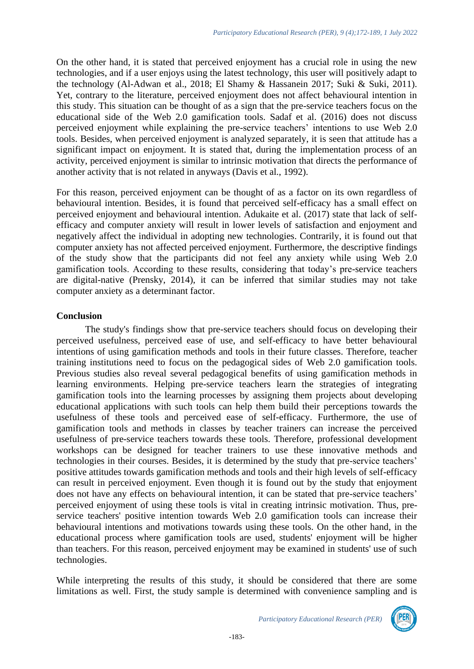On the other hand, it is stated that perceived enjoyment has a crucial role in using the new technologies, and if a user enjoys using the latest technology, this user will positively adapt to the technology (Al-Adwan et al., 2018; El Shamy & Hassanein 2017; Suki & Suki, 2011). Yet, contrary to the literature, perceived enjoyment does not affect behavioural intention in this study. This situation can be thought of as a sign that the pre-service teachers focus on the educational side of the Web 2.0 gamification tools. Sadaf et al. (2016) does not discuss perceived enjoyment while explaining the pre-service teachers' intentions to use Web 2.0 tools. Besides, when perceived enjoyment is analyzed separately, it is seen that attitude has a significant impact on enjoyment. It is stated that, during the implementation process of an activity, perceived enjoyment is similar to intrinsic motivation that directs the performance of another activity that is not related in anyways (Davis et al., 1992).

For this reason, perceived enjoyment can be thought of as a factor on its own regardless of behavioural intention. Besides, it is found that perceived self-efficacy has a small effect on perceived enjoyment and behavioural intention. Adukaite et al. (2017) state that lack of selfefficacy and computer anxiety will result in lower levels of satisfaction and enjoyment and negatively affect the individual in adopting new technologies. Contrarily, it is found out that computer anxiety has not affected perceived enjoyment. Furthermore, the descriptive findings of the study show that the participants did not feel any anxiety while using Web 2.0 gamification tools. According to these results, considering that today's pre-service teachers are digital-native (Prensky, 2014), it can be inferred that similar studies may not take computer anxiety as a determinant factor.

#### **Conclusion**

The study's findings show that pre-service teachers should focus on developing their perceived usefulness, perceived ease of use, and self-efficacy to have better behavioural intentions of using gamification methods and tools in their future classes. Therefore, teacher training institutions need to focus on the pedagogical sides of Web 2.0 gamification tools. Previous studies also reveal several pedagogical benefits of using gamification methods in learning environments. Helping pre-service teachers learn the strategies of integrating gamification tools into the learning processes by assigning them projects about developing educational applications with such tools can help them build their perceptions towards the usefulness of these tools and perceived ease of self-efficacy. Furthermore, the use of gamification tools and methods in classes by teacher trainers can increase the perceived usefulness of pre-service teachers towards these tools. Therefore, professional development workshops can be designed for teacher trainers to use these innovative methods and technologies in their courses. Besides, it is determined by the study that pre-service teachers' positive attitudes towards gamification methods and tools and their high levels of self-efficacy can result in perceived enjoyment. Even though it is found out by the study that enjoyment does not have any effects on behavioural intention, it can be stated that pre-service teachers' perceived enjoyment of using these tools is vital in creating intrinsic motivation. Thus, preservice teachers' positive intention towards Web 2.0 gamification tools can increase their behavioural intentions and motivations towards using these tools. On the other hand, in the educational process where gamification tools are used, students' enjoyment will be higher than teachers. For this reason, perceived enjoyment may be examined in students' use of such technologies.

While interpreting the results of this study, it should be considered that there are some limitations as well. First, the study sample is determined with convenience sampling and is

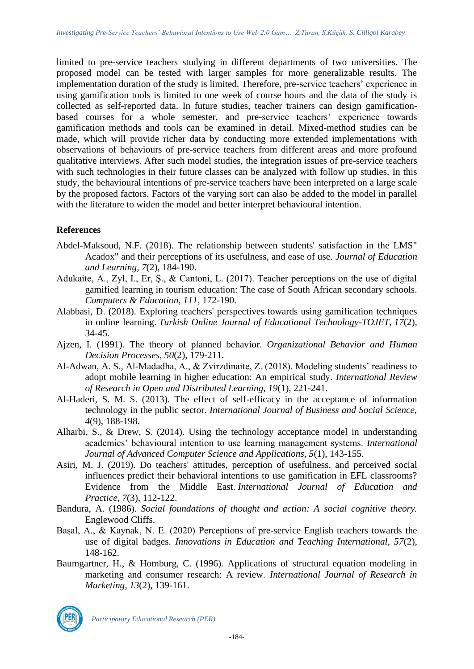limited to pre-service teachers studying in different departments of two universities. The proposed model can be tested with larger samples for more generalizable results. The implementation duration of the study is limited. Therefore, pre-service teachers' experience in using gamification tools is limited to one week of course hours and the data of the study is collected as self-reported data. In future studies, teacher trainers can design gamificationbased courses for a whole semester, and pre-service teachers' experience towards gamification methods and tools can be examined in detail. Mixed-method studies can be made, which will provide richer data by conducting more extended implementations with observations of behaviours of pre-service teachers from different areas and more profound qualitative interviews. After such model studies, the integration issues of pre-service teachers with such technologies in their future classes can be analyzed with follow up studies. In this study, the behavioural intentions of pre-service teachers have been interpreted on a large scale by the proposed factors. Factors of the varying sort can also be added to the model in parallel with the literature to widen the model and better interpret behavioural intention.

# **References**

- Abdel-Maksoud, N.F. (2018). The relationship between students' satisfaction in the LMS" Acadox" and their perceptions of its usefulness, and ease of use. *Journal of Education and Learning, 7*(2), 184-190.
- Adukaite, A., Zyl, I., Er, Ş., & Cantoni, L. (2017). Teacher perceptions on the use of digital gamified learning in tourism education: The case of South African secondary schools. *Computers & Education, 111,* 172-190.
- Alabbasi, D. (2018). Exploring teachers' perspectives towards using gamification techniques in online learning. *Turkish Online Journal of Educational Technology-TOJET*, *17*(2), 34-45.
- Ajzen, I. (1991). The theory of planned behavior. *Organizational Behavior and Human Decision Processes, 50*(2), 179-211.
- Al-Adwan, A. S., Al-Madadha, A., & Zvirzdinaite, Z. (2018). Modeling students' readiness to adopt mobile learning in higher education: An empirical study. *International Review of Research in Open and Distributed Learning, 19*(1), 221-241.
- Al-Haderi, S. M. S. (2013). The effect of self-efficacy in the acceptance of information technology in the public sector. *International Journal of Business and Social Science, 4*(9), 188-198.
- Alharbi, S., & Drew, S. (2014). Using the technology acceptance model in understanding academics' behavioural intention to use learning management systems. *International Journal of Advanced Computer Science and Applications, 5*(1), 143-155.
- Asiri, M. J. (2019). Do teachers' attitudes, perception of usefulness, and perceived social influences predict their behavioral intentions to use gamification in EFL classrooms? Evidence from the Middle East. *International Journal of Education and Practice*, *7*(3), 112-122.
- Bandura, A. (1986). *Social foundations of thought and action: A social cognitive theory.* Englewood Cliffs.
- Başal, A., & Kaynak, N. E. (2020) Perceptions of pre-service English teachers towards the use of digital badges. *Innovations in Education and Teaching International, 57*(2), 148-162.
- Baumgartner, H., & Homburg, C. (1996). Applications of structural equation modeling in marketing and consumer research: A review. *International Journal of Research in Marketing, 13*(2), 139-161.

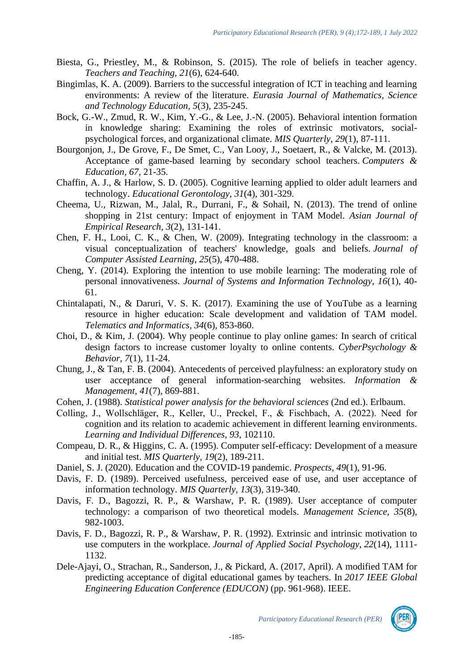- Biesta, G., Priestley, M., & Robinson, S. (2015). The role of beliefs in teacher agency*. Teachers and Teaching, 21*(6), 624-640.
- Bingimlas, K. A. (2009). Barriers to the successful integration of ICT in teaching and learning environments: A review of the literature. *Eurasia Journal of Mathematics, Science and Technology Education, 5*(3), 235-245.
- Bock, G.-W., Zmud, R. W., Kim, Y.-G., & Lee, J.-N. (2005). Behavioral intention formation in knowledge sharing: Examining the roles of extrinsic motivators, socialpsychological forces, and organizational climate. *MIS Quarterly, 29*(1), 87-111.
- Bourgonjon, J., De Grove, F., De Smet, C., Van Looy, J., Soetaert, R., & Valcke, M. (2013). Acceptance of game-based learning by secondary school teachers. *Computers & Education*, *67*, 21-35.
- Chaffin, A. J., & Harlow, S. D. (2005). Cognitive learning applied to older adult learners and technology. *Educational Gerontology*, *31*(4), 301-329.
- Cheema, U., Rizwan, M., Jalal, R., Durrani, F., & Sohail, N. (2013). The trend of online shopping in 21st century: Impact of enjoyment in TAM Model. *Asian Journal of Empirical Research, 3*(2), 131-141.
- Chen, F. H., Looi, C. K., & Chen, W. (2009). Integrating technology in the classroom: a visual conceptualization of teachers' knowledge, goals and beliefs. *Journal of Computer Assisted Learning*, *25*(5), 470-488.
- Cheng, Y. (2014). Exploring the intention to use mobile learning: The moderating role of personal innovativeness. *Journal of Systems and Information Technology, 16*(1), 40- 61.
- Chintalapati, N., & Daruri, V. S. K. (2017). Examining the use of YouTube as a learning resource in higher education: Scale development and validation of TAM model. *Telematics and Informatics, 34*(6), 853-860.
- Choi, D., & Kim, J. (2004). Why people continue to play online games: In search of critical design factors to increase customer loyalty to online contents. *CyberPsychology & Behavior, 7*(1), 11-24.
- Chung, J., & Tan, F. B. (2004). Antecedents of perceived playfulness: an exploratory study on user acceptance of general information-searching websites. *Information & Management, 41*(7), 869-881.
- Cohen, J. (1988). *Statistical power analysis for the behavioral sciences* (2nd ed.). Erlbaum.
- Colling, J., Wollschläger, R., Keller, U., Preckel, F., & Fischbach, A. (2022). Need for cognition and its relation to academic achievement in different learning environments. *Learning and Individual Differences*, *93*, 102110.
- Compeau, D. R., & Higgins, C. A. (1995). Computer self-efficacy: Development of a measure and initial test. *MIS Quarterly, 19*(2), 189-211.
- Daniel, S. J. (2020). Education and the COVID-19 pandemic. *Prospects*, *49*(1), 91-96.
- Davis, F. D. (1989). Perceived usefulness, perceived ease of use, and user acceptance of information technology. *MIS Quarterly, 13*(3), 319-340.
- Davis, F. D., Bagozzi, R. P., & Warshaw, P. R. (1989). User acceptance of computer technology: a comparison of two theoretical models. *Management Science, 35*(8), 982-1003.
- Davis, F. D., Bagozzi, R. P., & Warshaw, P. R. (1992). Extrinsic and intrinsic motivation to use computers in the workplace. *Journal of Applied Social Psychology*, *22*(14), 1111- 1132.
- Dele-Ajayi, O., Strachan, R., Sanderson, J., & Pickard, A. (2017, April). A modified TAM for predicting acceptance of digital educational games by teachers. In *2017 IEEE Global Engineering Education Conference (EDUCON)* (pp. 961-968). IEEE.

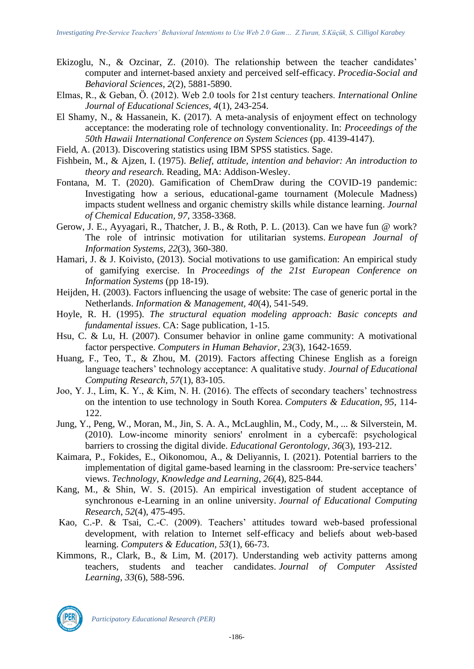- Ekizoglu, N., & Ozcinar, Z. (2010). The relationship between the teacher candidates' computer and internet-based anxiety and perceived self-efficacy. *Procedia-Social and Behavioral Sciences*, *2*(2), 5881-5890.
- Elmas, R., & Geban, Ö. (2012). Web 2.0 tools for 21st century teachers. *International Online Journal of Educational Sciences, 4*(1), 243-254.
- El Shamy, N., & Hassanein, K. (2017). A meta-analysis of enjoyment effect on technology acceptance: the moderating role of technology conventionality. In: *Proceedings of the 50th Hawaii International Conference on System Sciences* (pp. 4139-4147).
- Field, A. (2013). Discovering statistics using IBM SPSS statistics. Sage.
- Fishbein, M., & Ajzen, I. (1975). *Belief, attitude, intention and behavior: An introduction to theory and research.* Reading, MA: Addison-Wesley.
- Fontana, M. T. (2020). Gamification of ChemDraw during the COVID-19 pandemic: Investigating how a serious, educational-game tournament (Molecule Madness) impacts student wellness and organic chemistry skills while distance learning. *Journal of Chemical Education, 97,* 3358-3368.
- Gerow, J. E., Ayyagari, R., Thatcher, J. B., & Roth, P. L. (2013). Can we have fun @ work? The role of intrinsic motivation for utilitarian systems. *European Journal of Information Systems*, *22*(3), 360-380.
- Hamari, J. & J. Koivisto, (2013). Social motivations to use gamification: An empirical study of gamifying exercise. In *Proceedings of the 21st European Conference on Information Systems* (pp 18-19).
- Heijden, H. (2003). Factors influencing the usage of website: The case of generic portal in the Netherlands. *Information & Management, 40*(4), 541-549.
- Hoyle, R. H. (1995). *The structural equation modeling approach: Basic concepts and fundamental issues*. CA: Sage publication, 1-15.
- Hsu, C. & Lu, H. (2007). Consumer behavior in online game community: A motivational factor perspective. *Computers in Human Behavior, 23*(3), 1642-1659.
- Huang, F., Teo, T., & Zhou, M. (2019). Factors affecting Chinese English as a foreign language teachers' technology acceptance: A qualitative study. *Journal of Educational Computing Research, 57*(1), 83-105.
- Joo, Y. J., Lim, K. Y., & Kim, N. H. (2016). The effects of secondary teachers' technostress on the intention to use technology in South Korea. *Computers & Education*, *95*, 114- 122.
- Jung, Y., Peng, W., Moran, M., Jin, S. A. A., McLaughlin, M., Cody, M., ... & Silverstein, M. (2010). Low-income minority seniors' enrolment in a cybercafé: psychological barriers to crossing the digital divide. *Educational Gerontology*, *36*(3), 193-212.
- Kaimara, P., Fokides, E., Oikonomou, A., & Deliyannis, I. (2021). Potential barriers to the implementation of digital game-based learning in the classroom: Pre-service teachers' views. *Technology, Knowledge and Learning*, *26*(4), 825-844.
- Kang, M., & Shin, W. S. (2015). An empirical investigation of student acceptance of synchronous e-Learning in an online university. *Journal of Educational Computing Research*, *52*(4), 475-495.
- Kao, C.-P. & Tsai, C.-C. (2009). Teachers' attitudes toward web-based professional development, with relation to Internet self-efficacy and beliefs about web-based learning. *Computers & Education, 53*(1), 66-73.
- Kimmons, R., Clark, B., & Lim, M. (2017). Understanding web activity patterns among teachers, students and teacher candidates. *Journal of Computer Assisted Learning*, *33*(6), 588-596.

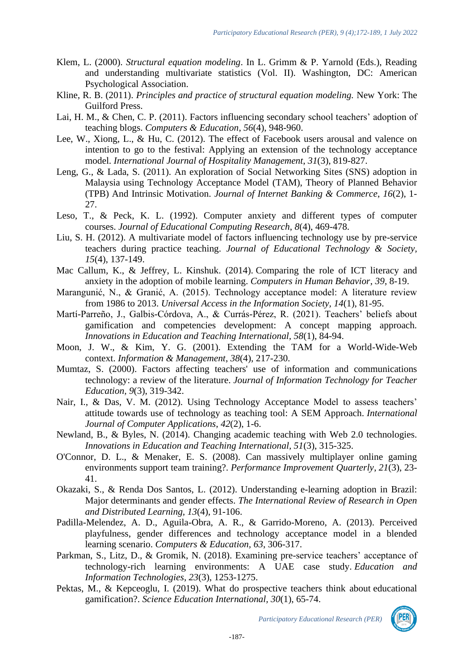- Klem, L. (2000). *Structural equation modeling*. In L. Grimm & P. Yarnold (Eds.), Reading and understanding multivariate statistics (Vol. II). Washington, DC: American Psychological Association.
- Kline, R. B. (2011). *Principles and practice of structural equation modeling.* New York: The Guilford Press.
- Lai, H. M., & Chen, C. P. (2011). Factors influencing secondary school teachers' adoption of teaching blogs. *Computers & Education*, *56*(4), 948-960.
- Lee, W., Xiong, L., & Hu, C. (2012). The effect of Facebook users arousal and valence on intention to go to the festival: Applying an extension of the technology acceptance model. *International Journal of Hospitality Management*, *31*(3), 819-827.
- Leng, G., & Lada, S. (2011). An exploration of Social Networking Sites (SNS) adoption in Malaysia using Technology Acceptance Model (TAM), Theory of Planned Behavior (TPB) And Intrinsic Motivation. *Journal of Internet Banking & Commerce*, *16*(2), 1- 27.
- Leso, T., & Peck, K. L. (1992). Computer anxiety and different types of computer courses. *Journal of Educational Computing Research*, *8*(4), 469-478.
- Liu, S. H. (2012). A multivariate model of factors influencing technology use by pre-service teachers during practice teaching. *Journal of Educational Technology & Society, 15*(4), 137-149.
- Mac Callum, K., & Jeffrey, L. Kinshuk. (2014). Comparing the role of ICT literacy and anxiety in the adoption of mobile learning. *Computers in Human Behavior*, *39*, 8-19.
- Marangunić, N., & Granić, A. (2015). Technology acceptance model: A literature review from 1986 to 2013. *Universal Access in the Information Society, 14*(1), 81-95.
- Martí-Parreño, J., Galbis-Córdova, A., & Currás-Pérez, R. (2021). Teachers' beliefs about gamification and competencies development: A concept mapping approach. *Innovations in Education and Teaching International, 58*(1), 84-94.
- Moon, J. W., & Kim, Y. G. (2001). Extending the TAM for a World-Wide-Web context. *Information & Management*, *38*(4), 217-230.
- Mumtaz, S. (2000). Factors affecting teachers' use of information and communications technology: a review of the literature. *Journal of Information Technology for Teacher Education, 9*(3), 319-342.
- Nair, I., & Das, V. M. (2012). Using Technology Acceptance Model to assess teachers' attitude towards use of technology as teaching tool: A SEM Approach. *International Journal of Computer Applications*, *42*(2), 1-6.
- Newland, B., & Byles, N. (2014). Changing academic teaching with Web 2.0 technologies. *Innovations in Education and Teaching International, 51*(3), 315-325.
- O'Connor, D. L., & Menaker, E. S. (2008). Can massively multiplayer online gaming environments support team training?. *Performance Improvement Quarterly*, *21*(3), 23- 41.
- Okazaki, S., & Renda Dos Santos, L. (2012). Understanding e-learning adoption in Brazil: Major determinants and gender effects. *The International Review of Research in Open and Distributed Learning, 13*(4), 91-106.
- Padilla-Melendez, A. D., Aguila-Obra, A. R., & Garrido-Moreno, A. (2013). Perceived playfulness, gender differences and technology acceptance model in a blended learning scenario. *Computers & Education, 63*, 306-317.
- Parkman, S., Litz, D., & Gromik, N. (2018). Examining pre-service teachers' acceptance of technology-rich learning environments: A UAE case study. *Education and Information Technologies*, *23*(3), 1253-1275.
- Pektas, M., & Kepceoglu, I. (2019). What do prospective teachers think about educational gamification?. *Science Education International, 30*(1), 65-74.

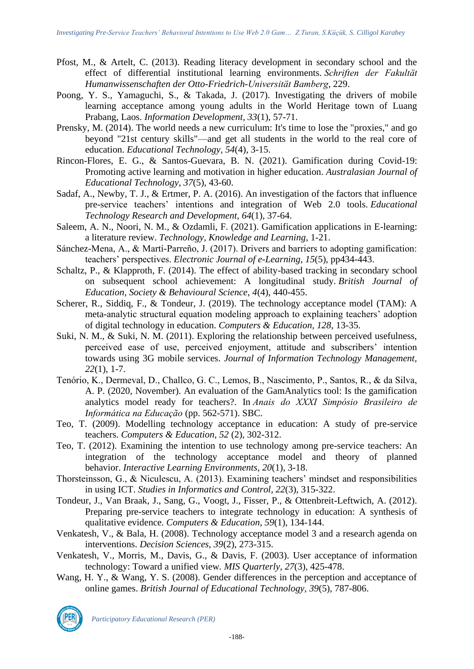- Pfost, M., & Artelt, C. (2013). Reading literacy development in secondary school and the effect of differential institutional learning environments. *Schriften der Fakultät Humanwissenschaften der Otto-Friedrich-Universität Bamberg*, 229.
- Poong, Y. S., Yamaguchi, S., & Takada, J. (2017). Investigating the drivers of mobile learning acceptance among young adults in the World Heritage town of Luang Prabang, Laos. *Information Development, 33*(1), 57-71.
- Prensky, M. (2014). The world needs a new curriculum: It's time to lose the "proxies," and go beyond "21st century skills"—and get all students in the world to the real core of education. *Educational Technology, 54*(4), 3-15.
- Rincon-Flores, E. G., & Santos-Guevara, B. N. (2021). Gamification during Covid-19: Promoting active learning and motivation in higher education. *Australasian Journal of Educational Technology*, *37*(5), 43-60.
- Sadaf, A., Newby, T. J., & Ertmer, P. A. (2016). An investigation of the factors that influence pre-service teachers' intentions and integration of Web 2.0 tools. *Educational Technology Research and Development, 64*(1), 37-64.
- Saleem, A. N., Noori, N. M., & Ozdamli, F. (2021). Gamification applications in E-learning: a literature review. *Technology, Knowledge and Learning*, 1-21.
- Sánchez-Mena, A., & Martí-Parreño, J. (2017). Drivers and barriers to adopting gamification: teachers' perspectives. *Electronic Journal of e-Learning*, *15*(5), pp434-443.
- Schaltz, P., & Klapproth, F. (2014). The effect of ability-based tracking in secondary school on subsequent school achievement: A longitudinal study. *British Journal of Education, Society & Behavioural Science*, *4*(4), 440-455.
- Scherer, R., Siddiq, F., & Tondeur, J. (2019). The technology acceptance model (TAM): A meta-analytic structural equation modeling approach to explaining teachers' adoption of digital technology in education. *Computers & Education, 128*, 13-35.
- Suki, N. M., & Suki, N. M. (2011). Exploring the relationship between perceived usefulness, perceived ease of use, perceived enjoyment, attitude and subscribers' intention towards using 3G mobile services. *Journal of Information Technology Management, 22*(1), 1-7.
- Tenório, K., Dermeval, D., Challco, G. C., Lemos, B., Nascimento, P., Santos, R., & da Silva, A. P. (2020, November). An evaluation of the GamAnalytics tool: Is the gamification analytics model ready for teachers?. In *Anais do XXXI Simpósio Brasileiro de Informática na Educação* (pp. 562-571). SBC.
- Teo, T. (2009). Modelling technology acceptance in education: A study of pre-service teachers. *Computers & Education, 52* (2), 302-312.
- Teo, T. (2012). Examining the intention to use technology among pre-service teachers: An integration of the technology acceptance model and theory of planned behavior. *Interactive Learning Environments*, *20*(1), 3-18.
- Thorsteinsson, G., & Niculescu, A. (2013). Examining teachers' mindset and responsibilities in using ICT. *Studies in Informatics and Control*, *22*(3), 315-322.
- Tondeur, J., Van Braak, J., Sang, G., Voogt, J., Fisser, P., & Ottenbreit-Leftwich, A. (2012). Preparing pre-service teachers to integrate technology in education: A synthesis of qualitative evidence. *Computers & Education*, *59*(1), 134-144.
- Venkatesh, V., & Bala, H. (2008). Technology acceptance model 3 and a research agenda on interventions. *Decision Sciences, 39*(2), 273-315.
- Venkatesh, V., Morris, M., Davis, G., & Davis, F. (2003). User acceptance of information technology: Toward a unified view*. MIS Quarterly, 27*(3), 425-478.
- Wang, H. Y., & Wang, Y. S. (2008). Gender differences in the perception and acceptance of online games. *British Journal of Educational Technology, 39*(5), 787-806.